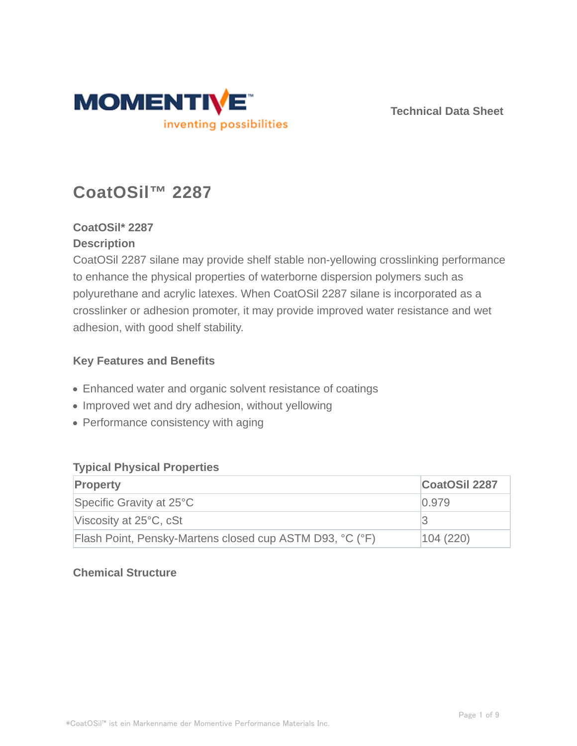

**Technical Data Sheet**

# **CoatOSil™ 2287**

# **CoatOSil\* 2287 Description**

CoatOSil 2287 silane may provide shelf stable non-yellowing crosslinking performance to enhance the physical properties of waterborne dispersion polymers such as polyurethane and acrylic latexes. When CoatOSil 2287 silane is incorporated as a crosslinker or adhesion promoter, it may provide improved water resistance and wet adhesion, with good shelf stability.

# **Key Features and Benefits**

- Enhanced water and organic solvent resistance of coatings
- Improved wet and dry adhesion, without yellowing
- Performance consistency with aging

#### **Typical Physical Properties**

| <b>Property</b>                                          | <b>CoatOSil 2287</b> |
|----------------------------------------------------------|----------------------|
| Specific Gravity at 25°C                                 | 0.979                |
| Viscosity at $25^{\circ}$ C, cSt                         |                      |
| Flash Point, Pensky-Martens closed cup ASTM D93, °C (°F) | 104 (220)            |

# **Chemical Structure**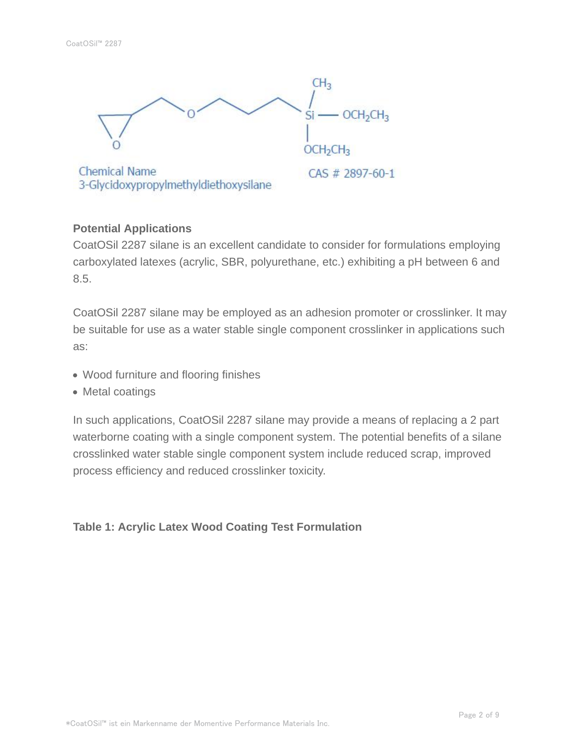

# **Potential Applications**

CoatOSil 2287 silane is an excellent candidate to consider for formulations employing carboxylated latexes (acrylic, SBR, polyurethane, etc.) exhibiting a pH between 6 and 8.5.

CoatOSil 2287 silane may be employed as an adhesion promoter or crosslinker. It may be suitable for use as a water stable single component crosslinker in applications such as:

- Wood furniture and flooring finishes
- Metal coatings

In such applications, CoatOSil 2287 silane may provide a means of replacing a 2 part waterborne coating with a single component system. The potential benefits of a silane crosslinked water stable single component system include reduced scrap, improved process efficiency and reduced crosslinker toxicity.

# **Table 1: Acrylic Latex Wood Coating Test Formulation**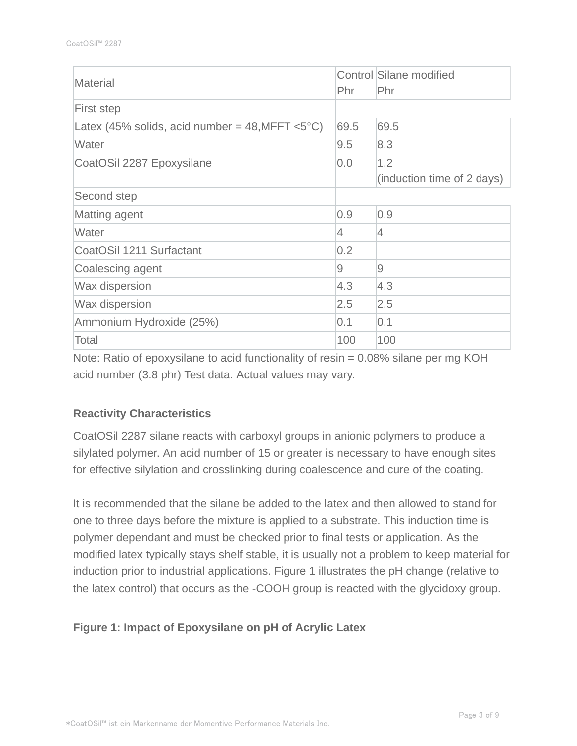| Material                                                                  | Phr            | Control Silane modified<br>Phr |
|---------------------------------------------------------------------------|----------------|--------------------------------|
| First step                                                                |                |                                |
| Latex (45% solids, acid number = $48, \text{MFFT} < 5^{\circ} \text{C}$ ) | 69.5           | 69.5                           |
| Water                                                                     | 9.5            | 8.3                            |
| CoatOSil 2287 Epoxysilane                                                 | 0.0            | 1.2                            |
|                                                                           |                | (induction time of 2 days)     |
| Second step                                                               |                |                                |
| Matting agent                                                             | 0.9            | 0.9                            |
| Water                                                                     | $\overline{4}$ | $\overline{4}$                 |
| CoatOSil 1211 Surfactant                                                  | 0.2            |                                |
| Coalescing agent                                                          | 9              | $\Theta$                       |
| Wax dispersion                                                            | 4.3            | 4.3                            |
| <b>Wax dispersion</b>                                                     | 2.5            | 2.5                            |
| Ammonium Hydroxide (25%)                                                  | 0.1            | 0.1                            |
| Total                                                                     | 100            | 100                            |

Note: Ratio of epoxysilane to acid functionality of resin = 0.08% silane per mg KOH acid number (3.8 phr) Test data. Actual values may vary.

# **Reactivity Characteristics**

CoatOSil 2287 silane reacts with carboxyl groups in anionic polymers to produce a silylated polymer. An acid number of 15 or greater is necessary to have enough sites for effective silylation and crosslinking during coalescence and cure of the coating.

It is recommended that the silane be added to the latex and then allowed to stand for one to three days before the mixture is applied to a substrate. This induction time is polymer dependant and must be checked prior to final tests or application. As the modified latex typically stays shelf stable, it is usually not a problem to keep material for induction prior to industrial applications. Figure 1 illustrates the pH change (relative to the latex control) that occurs as the -COOH group is reacted with the glycidoxy group.

# **Figure 1: Impact of Epoxysilane on pH of Acrylic Latex**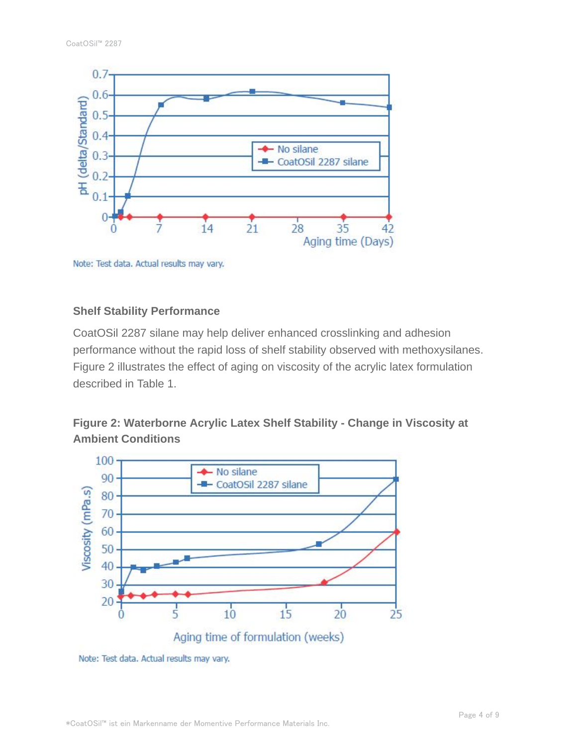

Note: Test data. Actual results may vary.

#### **Shelf Stability Performance**

CoatOSil 2287 silane may help deliver enhanced crosslinking and adhesion performance without the rapid loss of shelf stability observed with methoxysilanes. Figure 2 illustrates the effect of aging on viscosity of the acrylic latex formulation described in Table 1.

# **Figure 2: Waterborne Acrylic Latex Shelf Stability - Change in Viscosity at Ambient Conditions**



Note: Test data. Actual results may vary.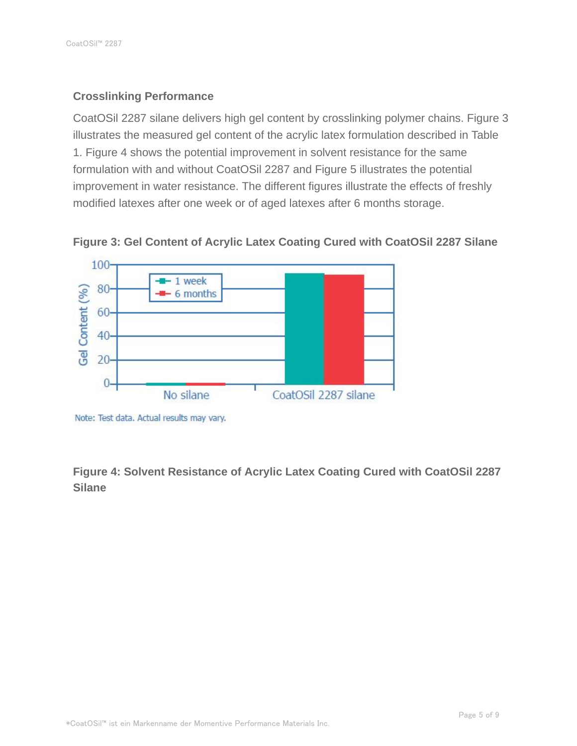# **Crosslinking Performance**

CoatOSil 2287 silane delivers high gel content by crosslinking polymer chains. Figure 3 illustrates the measured gel content of the acrylic latex formulation described in Table 1. Figure 4 shows the potential improvement in solvent resistance for the same formulation with and without CoatOSil 2287 and Figure 5 illustrates the potential improvement in water resistance. The different figures illustrate the effects of freshly modified latexes after one week or of aged latexes after 6 months storage.



**Figure 3: Gel Content of Acrylic Latex Coating Cured with CoatOSil 2287 Silane**

**Figure 4: Solvent Resistance of Acrylic Latex Coating Cured with CoatOSil 2287 Silane**

Note: Test data. Actual results may vary.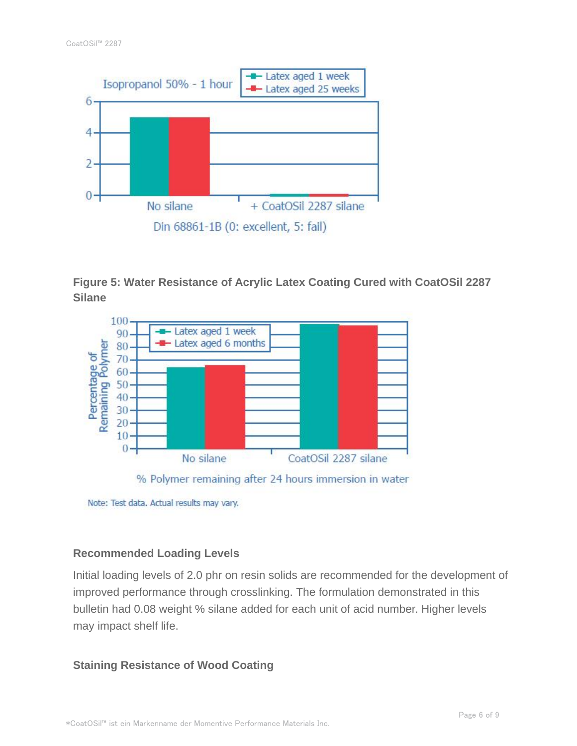

**Figure 5: Water Resistance of Acrylic Latex Coating Cured with CoatOSil 2287 Silane**



#### **Recommended Loading Levels**

Initial loading levels of 2.0 phr on resin solids are recommended for the development of improved performance through crosslinking. The formulation demonstrated in this bulletin had 0.08 weight % silane added for each unit of acid number. Higher levels may impact shelf life.

#### **Staining Resistance of Wood Coating**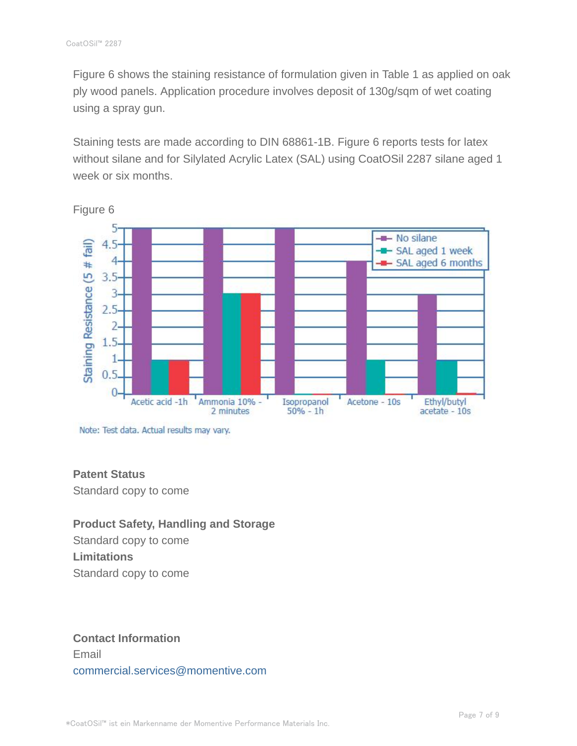Figure 6 shows the staining resistance of formulation given in Table 1 as applied on oak ply wood panels. Application procedure involves deposit of 130g/sqm of wet coating using a spray gun.

Staining tests are made according to DIN 68861-1B. Figure 6 reports tests for latex without silane and for Silylated Acrylic Latex (SAL) using CoatOSil 2287 silane aged 1 week or six months.



Figure 6

Note: Test data. Actual results may vary.

# **Patent Status**

Standard copy to come

# **Product Safety, Handling and Storage**

Standard copy to come **Limitations** Standard copy to come

# **Contact Information** Email commercial.services@momentive.com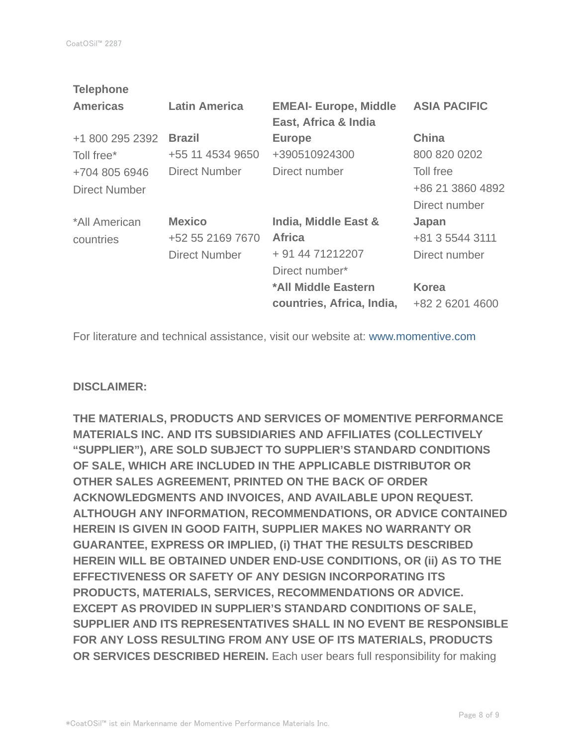| <b>Latin America</b> | <b>EMEAI- Europe, Middle</b><br>East, Africa & India | <b>ASIA PACIFIC</b> |
|----------------------|------------------------------------------------------|---------------------|
| <b>Brazil</b>        | <b>Europe</b>                                        | China               |
| +55 11 4534 9650     | +390510924300                                        | 800 820 0202        |
| <b>Direct Number</b> | Direct number                                        | Toll free           |
|                      |                                                      | +86 21 3860 4892    |
|                      |                                                      | Direct number       |
| <b>Mexico</b>        | India, Middle East &                                 | Japan               |
| +52 55 2169 7670     | <b>Africa</b>                                        | +81 3 5544 3111     |
| Direct Number        | + 91 44 71212207                                     | Direct number       |
|                      | Direct number*                                       |                     |
|                      | *All Middle Eastern                                  | <b>Korea</b>        |
|                      | countries, Africa, India,                            | +82 2 6201 4600     |
|                      |                                                      |                     |

For literature and technical assistance, visit our website at: www.momentive.com

#### **DISCLAIMER:**

**THE MATERIALS, PRODUCTS AND SERVICES OF MOMENTIVE PERFORMANCE MATERIALS INC. AND ITS SUBSIDIARIES AND AFFILIATES (COLLECTIVELY "SUPPLIER"), ARE SOLD SUBJECT TO SUPPLIER'S STANDARD CONDITIONS OF SALE, WHICH ARE INCLUDED IN THE APPLICABLE DISTRIBUTOR OR OTHER SALES AGREEMENT, PRINTED ON THE BACK OF ORDER ACKNOWLEDGMENTS AND INVOICES, AND AVAILABLE UPON REQUEST. ALTHOUGH ANY INFORMATION, RECOMMENDATIONS, OR ADVICE CONTAINED HEREIN IS GIVEN IN GOOD FAITH, SUPPLIER MAKES NO WARRANTY OR GUARANTEE, EXPRESS OR IMPLIED, (i) THAT THE RESULTS DESCRIBED HEREIN WILL BE OBTAINED UNDER END-USE CONDITIONS, OR (ii) AS TO THE EFFECTIVENESS OR SAFETY OF ANY DESIGN INCORPORATING ITS PRODUCTS, MATERIALS, SERVICES, RECOMMENDATIONS OR ADVICE. EXCEPT AS PROVIDED IN SUPPLIER'S STANDARD CONDITIONS OF SALE, SUPPLIER AND ITS REPRESENTATIVES SHALL IN NO EVENT BE RESPONSIBLE FOR ANY LOSS RESULTING FROM ANY USE OF ITS MATERIALS, PRODUCTS OR SERVICES DESCRIBED HEREIN.** Each user bears full responsibility for making